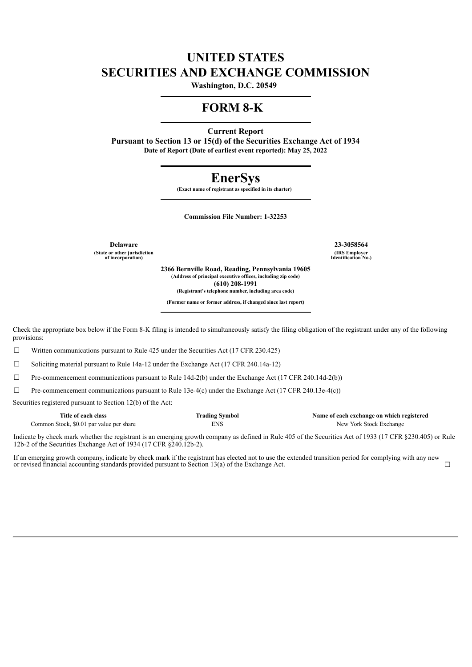# **UNITED STATES SECURITIES AND EXCHANGE COMMISSION**

**Washington, D.C. 20549** 

## **FORM 8-K**

**Current Report**

**Pursuant to Section 13 or 15(d) of the Securities Exchange Act of 1934 Date of Report (Date of earliest event reported): May 25, 2022**

# **EnerSys**

**(Exact name of registrant as specified in its charter)** 

**Commission File Number: 1-32253**

**(State or other jurisdiction of incorporation)**

**Delaware 23-3058564 (IRS Employer Identification No.)**

> **2366 Bernville Road, Reading, Pennsylvania 19605 (Address of principal executive offices, including zip code) (610) 208-1991 (Registrant's telephone number, including area code)**

**(Former name or former address, if changed since last report)**

Check the appropriate box below if the Form 8-K filing is intended to simultaneously satisfy the filing obligation of the registrant under any of the following provisions:

 $\Box$  Written communications pursuant to Rule 425 under the Securities Act (17 CFR 230.425)

☐ Soliciting material pursuant to Rule 14a-12 under the Exchange Act (17 CFR 240.14a-12)

 $\Box$  Pre-commencement communications pursuant to Rule 14d-2(b) under the Exchange Act (17 CFR 240.14d-2(b))

 $\Box$  Pre-commencement communications pursuant to Rule 13e-4(c) under the Exchange Act (17 CFR 240.13e-4(c))

Securities registered pursuant to Section 12(b) of the Act:

| Title of each class                      | <b>Trading Symbol</b> | Name of each exchange on which registered |
|------------------------------------------|-----------------------|-------------------------------------------|
| Common Stock, \$0.01 par value per share | ENS                   | New York Stock Exchange                   |

Indicate by check mark whether the registrant is an emerging growth company as defined in Rule 405 of the Securities Act of 1933 (17 CFR §230.405) or Rule 12b-2 of the Securities Exchange Act of 1934 (17 CFR §240.12b-2).

If an emerging growth company, indicate by check mark if the registrant has elected not to use the extended transition period for complying with any new or revised financial accounting standards provided pursuant to Section 13(a) of the Exchange Act. <del>□</del>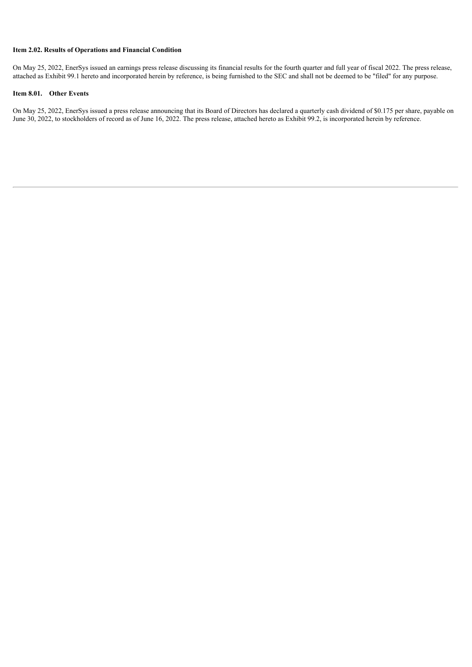## **Item 2.02. Results of Operations and Financial Condition**

On May 25, 2022, EnerSys issued an earnings press release discussing its financial results for the fourth quarter and full year of fiscal 2022. The press release, attached as Exhibit 99.1 hereto and incorporated herein by reference, is being furnished to the SEC and shall not be deemed to be "filed" for any purpose.

#### **Item 8.01. Other Events**

On May 25, 2022, EnerSys issued a press release announcing that its Board of Directors has declared a quarterly cash dividend of \$0.175 per share, payable on June 30, 2022, to stockholders of record as of June 16, 2022. The press release, attached hereto as Exhibit 99.2, is incorporated herein by reference.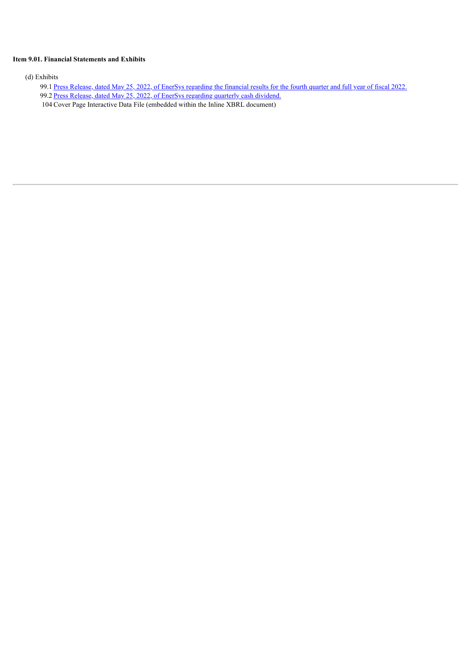### **Item 9.01. Financial Statements and Exhibits**

(d) Exhibits

- 99.1 Press Release, dated May 25, 2022, of EnerSys [regarding](#page-4-0) the financial results for the fourth quarter and full year of fiscal 2022.
- 99.2 Press Release, dated May 25, 2022, of EnerSys [regarding](#page-17-0) quarterly cash dividend.
- 104 Cover Page Interactive Data File (embedded within the Inline XBRL document)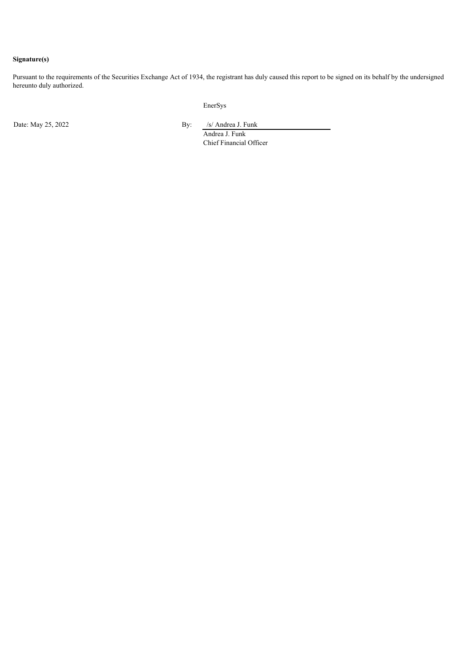## **Signature(s)**

Pursuant to the requirements of the Securities Exchange Act of 1934, the registrant has duly caused this report to be signed on its behalf by the undersigned hereunto duly authorized.

EnerSys

Date: May 25, 2022 By: /s/ Andrea J. Funk

Andrea J. Funk Chief Financial Officer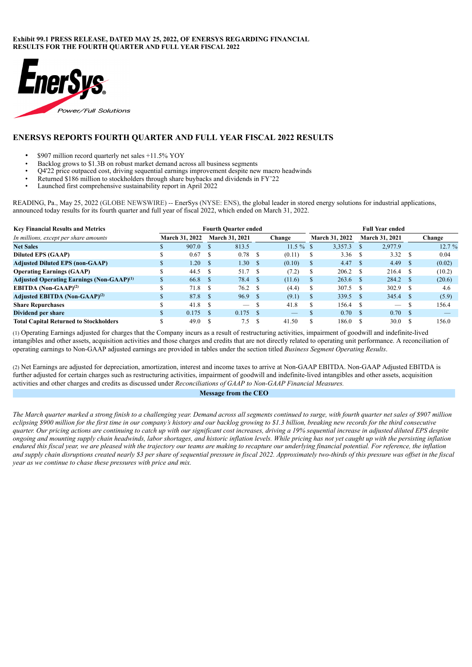#### <span id="page-4-0"></span>**Exhibit 99.1 PRESS RELEASE, DATED MAY 25, 2022, OF ENERSYS REGARDING FINANCIAL RESULTS FOR THE FOURTH QUARTER AND FULL YEAR FISCAL 2022**



## **ENERSYS REPORTS FOURTH QUARTER AND FULL YEAR FISCAL 2022 RESULTS**

- \$907 million record quarterly net sales +11.5% YOY
- Backlog grows to \$1.3B on robust market demand across all business segments
- $Q4'22$  price outpaced cost, driving sequential earnings improvement despite new macro headwinds<br>• Returned \$186 million to stockholders through share buybacks and dividends in  $FV'22$
- Returned \$186 million to stockholders through share buybacks and dividends in FY'22<br>• I aunched first comprehensive sustainability report in April 2022
- Launched first comprehensive sustainability report in April 2022

READING, Pa., May 25, 2022 (GLOBE NEWSWIRE) -- EnerSys (NYSE: ENS), the global leader in stored energy solutions for industrial applications, announced today results for its fourth quarter and full year of fiscal 2022, which ended on March 31, 2022.

| <b>Key Financial Results and Metrics</b>                     | <b>Fourth Quarter ended</b> |                       |      |                          |     |          |               | <b>Full Year ended</b> |               |                          |      |        |
|--------------------------------------------------------------|-----------------------------|-----------------------|------|--------------------------|-----|----------|---------------|------------------------|---------------|--------------------------|------|--------|
| In millions, except per share amounts                        |                             | <b>March 31, 2022</b> |      | <b>March 31, 2021</b>    |     | Change   |               | <b>March 31, 2022</b>  |               | <b>March 31, 2021</b>    |      | Change |
| <b>Net Sales</b>                                             |                             | 907.0                 |      | 813.5                    |     | $11.5\%$ |               | 3,357.3                |               | 2.977.9                  |      | 12.7%  |
| <b>Diluted EPS (GAAP)</b>                                    |                             | 0.67                  |      | 0.78                     |     | (0.11)   | S             | 3.36                   | S             | 3.32                     | -S   | 0.04   |
| <b>Adjusted Diluted EPS (non-GAAP)</b>                       |                             | 1.20                  | ∖ \$ | 1.30                     | -S  | (0.10)   | S.            | 4.47                   | - \$          | 4.49                     |      | (0.02) |
| <b>Operating Earnings (GAAP)</b>                             |                             | 44.5                  |      | 51.7                     | -S  | (7.2)    |               | 206.2                  | -S            | 216.4                    |      | (10.2) |
| <b>Adjusted Operating Earnings (Non-GAAP)</b> <sup>(1)</sup> |                             | 66.8                  | - \$ | 78.4 \$                  |     | (11.6)   | $\mathcal{L}$ | 263.6                  | <sup>\$</sup> | 284.2                    | -S   | (20.6) |
| <b>EBITDA</b> (Non-GAAP) <sup>(2)</sup>                      |                             | 71.8                  |      | 76.2 S                   |     | (4.4)    | У             | 307.5                  | <sup>\$</sup> | 302.9                    | -S   | 4.6    |
| Adjusted EBITDA (Non-GAAP) <sup>(2)</sup>                    |                             | 87.8                  | - \$ | 96.9 S                   |     | (9.1)    | S.            | $339.5$ \$             |               | 345.4                    | - \$ | (5.9)  |
| <b>Share Repurchases</b>                                     |                             | 41.8                  | - \$ | $\overline{\phantom{a}}$ | \$. | 41.8     |               | 156.4                  | -S            | $\overline{\phantom{a}}$ |      | 156.4  |
| Dividend per share                                           |                             | 0.175                 | - \$ | $0.175$ \$               |     | –        |               | 0.70                   | <sup>S</sup>  | 0.70                     | S.   |        |
| <b>Total Capital Returned to Stockholders</b>                |                             | 49.0                  |      | 7.5 \$                   |     | 41.50    |               | 186.0                  |               | 30.0                     |      | 156.0  |

(1) Operating Earnings adjusted for charges that the Company incurs as a result of restructuring activities, impairment of goodwill and indefinite-lived intangibles and other assets, acquisition activities and those charges and credits that are not directly related to operating unit performance. A reconciliation of operating earnings to Non-GAAP adjusted earnings are provided in tables under the section titled *Business Segment Operating Results*.

(2) Net Earnings are adjusted for depreciation, amortization, interest and income taxes to arrive at Non-GAAP EBITDA. Non-GAAP Adjusted EBITDA is further adjusted for certain charges such as restructuring activities, impairment of goodwill and indefinite-lived intangibles and other assets, acquisition activities and other charges and credits as discussed under *Reconciliations of GAAP to Non-GAAP Financial Measures.*

#### **Message from the CEO**

The March quarter marked a strong finish to a challenging year. Demand across all segments continued to surge, with fourth quarter net sales of \$907 million eclipsing \$900 million for the first time in our company's history and our backlog growing to \$1.3 billion, breaking new records for the third consecutive quarter. Our pricing actions are continuing to catch up with our significant cost increases, driving a 19% sequential increase in adjusted diluted EPS despite ongoing and mounting supply chain headwinds, labor shortages, and historic inflation levels. While pricing has not vet caught up with the persisting inflation endured this fiscal year, we are pleased with the trajectory our teams are making to recapture our underlying financial potential. For reference, the inflation and supply chain disruptions created nearly \$3 per share of sequential pressure in fiscal 2022. Approximately two-thirds of this pressure was offset in the fiscal *year as we continue to chase these pressures with price and mix.*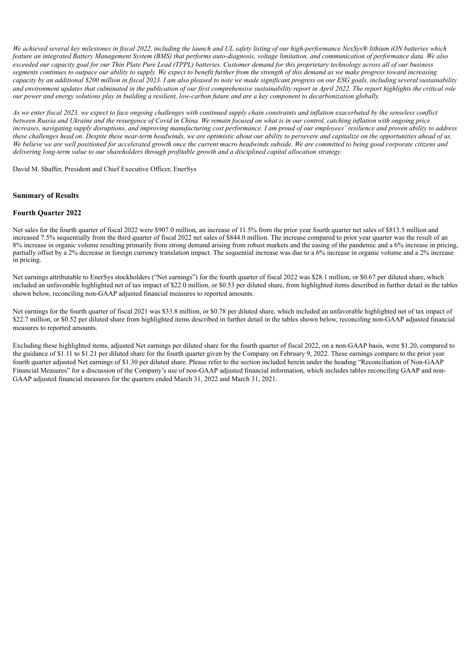We achieved several key milestones in fiscal 2022, including the launch and UL safety listing of our high-performance NexSys® lithium iON batteries which feature an integrated Battery Management System (BMS) that performs auto-diagnosis, voltage limitation, and communication of performance data. We also exceeded our capacity goal for our Thin Plate Pure Lead (TPPL) batteries. Customer demand for this proprietary technology across all of our business segments continues to outpace our ability to supply. We expect to benefit further from the strength of this demand as we make progress toward increasing capacity by an additional \$200 million in fiscal 2023. I am also pleased to note we made significant progress on our ESG goals, including several sustainability and environment updates that culminated in the publication of our first comprehensive sustainability report in April 2022. The report highlights the critical role our power and energy solutions play in building a resilient, low-carbon future and are a key component to decarbonization globally.

As we enter fiscal 2023, we expect to face ongoing challenges with continued supply chain constraints and inflation exacerbated by the senseless conflict between Russia and Ukraine and the resurgence of Covid in China. We remain focused on what is in our control, catching inflation with ongoing price increases, navigating supply disruptions, and improving manufacturing cost performance. I am proud of our employees' resilience and proven ability to address these challenges head on. Despite these near-term headwinds, we are optimistic about our ability to persevere and capitalize on the opportunities ahead of us. We believe we are well positioned for accelerated growth once the current macro headwinds subside. We are committed to being good corporate citizens and *delivering long-term value to our shareholders through profitable growth and a disciplined capital allocation strategy.*

David M. Shaffer, President and Chief Executive Officer, EnerSys

#### **Summary of Results**

#### **Fourth Quarter 2022**

Net sales for the fourth quarter of fiscal 2022 were \$907.0 million, an increase of 11.5% from the prior year fourth quarter net sales of \$813.5 million and increased 7.5% sequentially from the third quarter of fiscal 2022 net sales of \$844.0 million. The increase compared to prior year quarter was the result of an 8% increase in organic volume resulting primarily from strong demand arising from robust markets and the easing of the pandemic and a 6% increase in pricing, partially offset by a 2% decrease in foreign currency translation impact. The sequential increase was due to a 6% increase in organic volume and a 2% increase in pricing.

Net earnings attributable to EnerSys stockholders ("Net earnings") for the fourth quarter of fiscal 2022 was \$28.1 million, or \$0.67 per diluted share, which included an unfavorable highlighted net of tax impact of \$22.0 million, or \$0.53 per diluted share, from highlighted items described in further detail in the tables shown below, reconciling non-GAAP adjusted financial measures to reported amounts.

Net earnings for the fourth quarter of fiscal 2021 was \$33.8 million, or \$0.78 per diluted share, which included an unfavorable highlighted net of tax impact of \$22.7 million, or \$0.52 per diluted share from highlighted items described in further detail in the tables shown below, reconciling non-GAAP adjusted financial measures to reported amounts.

Excluding these highlighted items, adjusted Net earnings per diluted share for the fourth quarter of fiscal 2022, on a non-GAAP basis, were \$1.20, compared to the guidance of \$1.11 to \$1.21 per diluted share for the fourth quarter given by the Company on February 9, 2022. These earnings compare to the prior year fourth quarter adjusted Net earnings of \$1.30 per diluted share. Please refer to the section included herein under the heading "Reconciliation of Non-GAAP Financial Measures" for a discussion of the Company's use of non-GAAP adjusted financial information, which includes tables reconciling GAAP and non-GAAP adjusted financial measures for the quarters ended March 31, 2022 and March 31, 2021.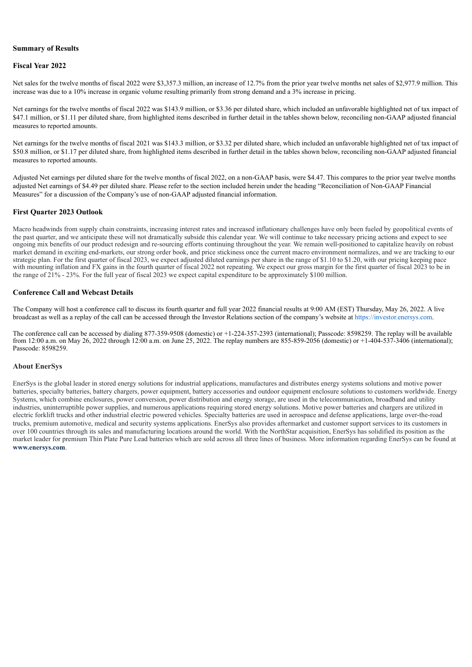#### **Summary of Results**

#### **Fiscal Year 2022**

Net sales for the twelve months of fiscal 2022 were \$3,357.3 million, an increase of 12.7% from the prior year twelve months net sales of \$2,977.9 million. This increase was due to a 10% increase in organic volume resulting primarily from strong demand and a 3% increase in pricing.

Net earnings for the twelve months of fiscal 2022 was \$143.9 million, or \$3.36 per diluted share, which included an unfavorable highlighted net of tax impact of \$47.1 million, or \$1.11 per diluted share, from highlighted items described in further detail in the tables shown below, reconciling non-GAAP adjusted financial measures to reported amounts.

Net earnings for the twelve months of fiscal 2021 was \$143.3 million, or \$3.32 per diluted share, which included an unfavorable highlighted net of tax impact of \$50.8 million, or \$1.17 per diluted share, from highlighted items described in further detail in the tables shown below, reconciling non-GAAP adjusted financial measures to reported amounts.

Adjusted Net earnings per diluted share for the twelve months of fiscal 2022, on a non-GAAP basis, were \$4.47. This compares to the prior year twelve months adjusted Net earnings of \$4.49 per diluted share. Please refer to the section included herein under the heading "Reconciliation of Non-GAAP Financial Measures" for a discussion of the Company's use of non-GAAP adjusted financial information.

#### **First Quarter 2023 Outlook**

Macro headwinds from supply chain constraints, increasing interest rates and increased inflationary challenges have only been fueled by geopolitical events of the past quarter, and we anticipate these will not dramatically subside this calendar year. We will continue to take necessary pricing actions and expect to see ongoing mix benefits of our product redesign and re-sourcing efforts continuing throughout the year. We remain well-positioned to capitalize heavily on robust market demand in exciting end-markets, our strong order book, and price stickiness once the current macro environment normalizes, and we are tracking to our strategic plan. For the first quarter of fiscal 2023, we expect adjusted diluted earnings per share in the range of \$1.10 to \$1.20, with our pricing keeping pace with mounting inflation and FX gains in the fourth quarter of fiscal 2022 not repeating. We expect our gross margin for the first quarter of fiscal 2023 to be in the range of 21% - 23%. For the full year of fiscal 2023 we expect capital expenditure to be approximately \$100 million.

#### **Conference Call and Webcast Details**

The Company will host a conference call to discuss its fourth quarter and full year 2022 financial results at 9:00 AM (EST) Thursday, May 26, 2022. A live broadcast as well as a replay of the call can be accessed through the Investor Relations section of the company's website at https://investor.enersys.com.

The conference call can be accessed by dialing 877-359-9508 (domestic) or +1-224-357-2393 (international); Passcode: 8598259. The replay will be available from 12:00 a.m. on May 26, 2022 through 12:00 a.m. on June 25, 2022. The replay numbers are 855-859-2056 (domestic) or +1-404-537-3406 (international); Passcode: 8598259.

#### **About EnerSys**

EnerSys is the global leader in stored energy solutions for industrial applications, manufactures and distributes energy systems solutions and motive power batteries, specialty batteries, battery chargers, power equipment, battery accessories and outdoor equipment enclosure solutions to customers worldwide. Energy Systems, which combine enclosures, power conversion, power distribution and energy storage, are used in the telecommunication, broadband and utility industries, uninterruptible power supplies, and numerous applications requiring stored energy solutions. Motive power batteries and chargers are utilized in electric forklift trucks and other industrial electric powered vehicles. Specialty batteries are used in aerospace and defense applications, large over-the-road trucks, premium automotive, medical and security systems applications. EnerSys also provides aftermarket and customer support services to its customers in over 100 countries through its sales and manufacturing locations around the world. With the NorthStar acquisition, EnerSys has solidified its position as the market leader for premium Thin Plate Pure Lead batteries which are sold across all three lines of business. More information regarding EnerSys can be found at **www.enersys.com**.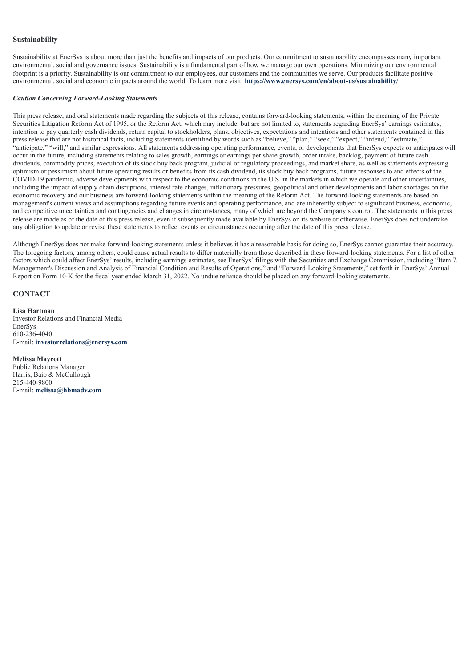#### **Sustainability**

Sustainability at EnerSys is about more than just the benefits and impacts of our products. Our commitment to sustainability encompasses many important environmental, social and governance issues. Sustainability is a fundamental part of how we manage our own operations. Minimizing our environmental footprint is a priority. Sustainability is our commitment to our employees, our customers and the communities we serve. Our products facilitate positive environmental, social and economic impacts around the world. To learn more visit: **https://www.enersys.com/en/about-us/sustainability/**.

#### *Caution Concerning Forward-Looking Statements*

This press release, and oral statements made regarding the subjects of this release, contains forward-looking statements, within the meaning of the Private Securities Litigation Reform Act of 1995, or the Reform Act, which may include, but are not limited to, statements regarding EnerSys' earnings estimates, intention to pay quarterly cash dividends, return capital to stockholders, plans, objectives, expectations and intentions and other statements contained in this press release that are not historical facts, including statements identified by words such as "believe," "plan," "seek," "expect," "intend," "estimate," "anticipate," "will," and similar expressions. All statements addressing operating performance, events, or developments that EnerSys expects or anticipates will occur in the future, including statements relating to sales growth, earnings or earnings per share growth, order intake, backlog, payment of future cash dividends, commodity prices, execution of its stock buy back program, judicial or regulatory proceedings, and market share, as well as statements expressing optimism or pessimism about future operating results or benefits from its cash dividend, its stock buy back programs, future responses to and effects of the COVID-19 pandemic, adverse developments with respect to the economic conditions in the U.S. in the markets in which we operate and other uncertainties, including the impact of supply chain disruptions, interest rate changes, inflationary pressures, geopolitical and other developments and labor shortages on the economic recovery and our business are forward-looking statements within the meaning of the Reform Act. The forward-looking statements are based on management's current views and assumptions regarding future events and operating performance, and are inherently subject to significant business, economic, and competitive uncertainties and contingencies and changes in circumstances, many of which are beyond the Company's control. The statements in this press release are made as of the date of this press release, even if subsequently made available by EnerSys on its website or otherwise. EnerSys does not undertake any obligation to update or revise these statements to reflect events or circumstances occurring after the date of this press release.

Although EnerSys does not make forward-looking statements unless it believes it has a reasonable basis for doing so, EnerSys cannot guarantee their accuracy. The foregoing factors, among others, could cause actual results to differ materially from those described in these forward-looking statements. For a list of other factors which could affect EnerSys' results, including earnings estimates, see EnerSys' filings with the Securities and Exchange Commission, including "Item 7. Management's Discussion and Analysis of Financial Condition and Results of Operations," and "Forward-Looking Statements," set forth in EnerSys' Annual Report on Form 10-K for the fiscal year ended March 31, 2022. No undue reliance should be placed on any forward-looking statements.

## **CONTACT**

**Lisa Hartman** Investor Relations and Financial Media EnerSys 610-236-4040 E-mail: **investorrelations@enersys.com**

**Melissa Maycott** Public Relations Manager Harris, Baio & McCullough 215-440-9800 E-mail: **melissa@hbmadv.com**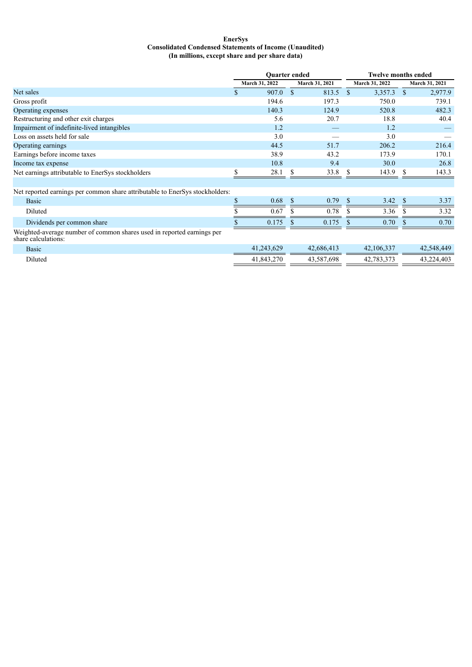#### **EnerSys Consolidated Condensed Statements of Income (Unaudited) (In millions, except share and per share data)**

|                                                                                               | <b>Ouarter ended</b> |                |               |                |              | <b>Twelve months ended</b> |               |                |  |  |
|-----------------------------------------------------------------------------------------------|----------------------|----------------|---------------|----------------|--------------|----------------------------|---------------|----------------|--|--|
|                                                                                               |                      | March 31, 2022 |               | March 31, 2021 |              | March 31, 2022             |               | March 31, 2021 |  |  |
| Net sales                                                                                     | \$                   | 907.0          | <sup>\$</sup> | 813.5 \$       |              | 3,357.3                    | <sup>\$</sup> | 2,977.9        |  |  |
| Gross profit                                                                                  |                      | 194.6          |               | 197.3          |              | 750.0                      |               | 739.1          |  |  |
| Operating expenses                                                                            |                      | 140.3          |               | 124.9          |              | 520.8                      |               | 482.3          |  |  |
| Restructuring and other exit charges                                                          |                      | 5.6            |               | 20.7           |              | 18.8                       |               | 40.4           |  |  |
| Impairment of indefinite-lived intangibles                                                    |                      | 1.2            |               |                |              | 1.2                        |               |                |  |  |
| Loss on assets held for sale                                                                  |                      | 3.0            |               |                |              | 3.0                        |               |                |  |  |
| Operating earnings                                                                            |                      | 44.5           |               | 51.7           |              | 206.2                      |               | 216.4          |  |  |
| Earnings before income taxes                                                                  |                      | 38.9           |               | 43.2           |              | 173.9                      |               | 170.1          |  |  |
| Income tax expense                                                                            |                      | 10.8           |               | 9.4            |              | 30.0                       |               | 26.8           |  |  |
| Net earnings attributable to EnerSys stockholders                                             |                      | 28.1           | S             | 33.8           | S            | 143.9                      | S             | 143.3          |  |  |
|                                                                                               |                      |                |               |                |              |                            |               |                |  |  |
| Net reported earnings per common share attributable to EnerSys stockholders:                  |                      |                |               |                |              |                            |               |                |  |  |
| <b>Basic</b>                                                                                  |                      | 0.68           | <sup>\$</sup> | 0.79           | <sup>S</sup> | 3.42                       | <sup>S</sup>  | 3.37           |  |  |
| Diluted                                                                                       |                      | 0.67           | \$.           | 0.78           | <b>S</b>     | 3.36                       | S             | 3.32           |  |  |
| Dividends per common share                                                                    |                      | 0.175          | -S            | 0.175          |              | 0.70                       |               | 0.70           |  |  |
| Weighted-average number of common shares used in reported earnings per<br>share calculations: |                      |                |               |                |              |                            |               |                |  |  |
| <b>Basic</b>                                                                                  |                      | 41,243,629     |               | 42,686,413     |              | 42,106,337                 |               | 42,548,449     |  |  |
| Diluted                                                                                       |                      | 41,843,270     |               | 43,587,698     |              | 42,783,373                 |               | 43,224,403     |  |  |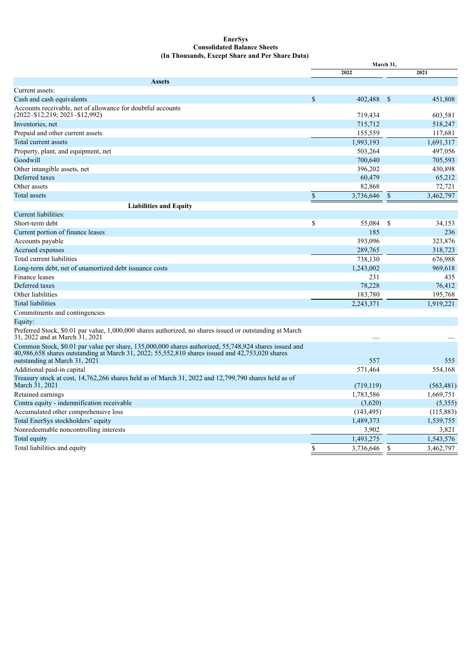#### **EnerSys Consolidated Balance Sheets (In Thousands, Except Share and Per Share Data)**

|                                                                                                                                                                                                          | March 31,    |            |               |           |
|----------------------------------------------------------------------------------------------------------------------------------------------------------------------------------------------------------|--------------|------------|---------------|-----------|
|                                                                                                                                                                                                          |              | 2022       |               | 2021      |
| <b>Assets</b>                                                                                                                                                                                            |              |            |               |           |
| Current assets:                                                                                                                                                                                          |              |            |               |           |
| Cash and cash equivalents                                                                                                                                                                                | $\mathbb{S}$ | 402,488    | -\$           | 451,808   |
| Accounts receivable, net of allowance for doubtful accounts<br>$(2022 - $12, 219; 2021 - $12, 992)$                                                                                                      |              | 719,434    |               | 603,581   |
| Inventories, net                                                                                                                                                                                         |              | 715,712    |               | 518,247   |
| Prepaid and other current assets                                                                                                                                                                         |              | 155,559    |               | 117,681   |
| Total current assets                                                                                                                                                                                     |              | 1,993,193  |               | 1,691,317 |
| Property, plant, and equipment, net                                                                                                                                                                      |              | 503,264    |               | 497,056   |
| Goodwill                                                                                                                                                                                                 |              | 700,640    |               | 705,593   |
| Other intangible assets, net                                                                                                                                                                             |              | 396,202    |               | 430,898   |
| Deferred taxes                                                                                                                                                                                           |              | 60,479     |               | 65,212    |
| Other assets                                                                                                                                                                                             |              | 82,868     |               | 72,721    |
| <b>Total assets</b>                                                                                                                                                                                      | \$           | 3,736,646  | \$            | 3,462,797 |
| <b>Liabilities and Equity</b>                                                                                                                                                                            |              |            |               |           |
| Current liabilities:                                                                                                                                                                                     |              |            |               |           |
| Short-term debt                                                                                                                                                                                          | \$           | 55,084     | $\mathcal{S}$ | 34,153    |
| Current portion of finance leases                                                                                                                                                                        |              | 185        |               | 236       |
| Accounts payable                                                                                                                                                                                         |              | 393,096    |               | 323,876   |
| Accrued expenses                                                                                                                                                                                         |              | 289,765    |               | 318,723   |
| Total current liabilities                                                                                                                                                                                |              | 738,130    |               | 676,988   |
| Long-term debt, net of unamortized debt issuance costs                                                                                                                                                   |              | 1,243,002  |               | 969,618   |
| Finance leases                                                                                                                                                                                           |              | 231        |               | 435       |
| Deferred taxes                                                                                                                                                                                           |              | 78,228     |               | 76,412    |
| Other liabilities                                                                                                                                                                                        |              | 183,780    |               | 195,768   |
| <b>Total liabilities</b>                                                                                                                                                                                 |              | 2,243,371  |               | 1,919,221 |
| Commitments and contingencies                                                                                                                                                                            |              |            |               |           |
| Equity:                                                                                                                                                                                                  |              |            |               |           |
| Preferred Stock, \$0.01 par value, 1,000,000 shares authorized, no shares issued or outstanding at March<br>31, 2022 and at March 31, 2021                                                               |              |            |               |           |
| Common Stock, \$0.01 par value per share, 135,000,000 shares authorized, 55,748,924 shares issued and<br>40,986,658 shares outstanding at March 31, 2022; 55,552,810 shares issued and 42,753,020 shares |              | 557        |               | 555       |
| outstanding at March 31, 2021<br>Additional paid-in capital                                                                                                                                              |              | 571,464    |               | 554,168   |
|                                                                                                                                                                                                          |              |            |               |           |
| Treasury stock at cost, 14,762,266 shares held as of March 31, 2022 and 12,799,790 shares held as of<br>March 31, 2021                                                                                   |              | (719, 119) |               | (563,481) |
| Retained earnings                                                                                                                                                                                        |              | 1,783,586  |               | 1,669,751 |
| Contra equity - indemnification receivable                                                                                                                                                               |              | (3,620)    |               | (5,355)   |
| Accumulated other comprehensive loss                                                                                                                                                                     |              | (143, 495) |               | (115,883) |
| Total EnerSys stockholders' equity                                                                                                                                                                       |              | 1,489,373  |               | 1,539,755 |
| Nonredeemable noncontrolling interests                                                                                                                                                                   |              | 3,902      |               | 3,821     |
| Total equity                                                                                                                                                                                             |              | 1,493,275  |               | 1,543,576 |
| Total liabilities and equity                                                                                                                                                                             | \$           | 3,736,646  | $\mathbb{S}$  | 3,462,797 |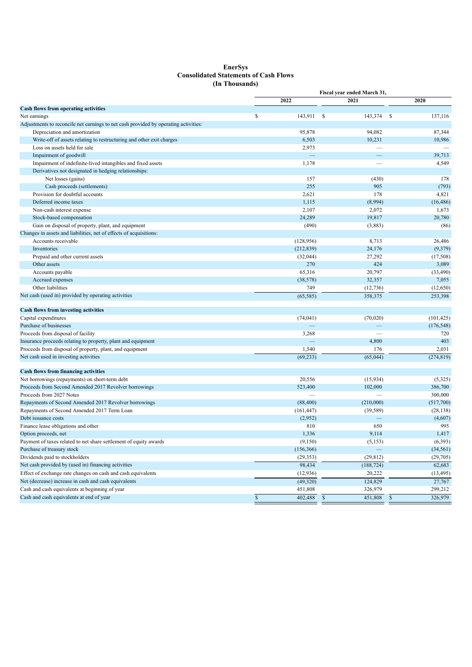#### **EnerSys Consolidated Statements of Cash Flows (In Thousands)**

|                                                                                     | Fiscal year ended March 31, |            |                          |               |                     |  |  |
|-------------------------------------------------------------------------------------|-----------------------------|------------|--------------------------|---------------|---------------------|--|--|
|                                                                                     |                             | 2022       | 2021                     | 2020          |                     |  |  |
| <b>Cash flows from operating activities</b>                                         |                             |            |                          |               |                     |  |  |
| Net earnings                                                                        | \$                          | 143,911    | \$<br>143,374            | \$            | 137,116             |  |  |
| Adjustments to reconcile net earnings to net cash provided by operating activities: |                             |            |                          |               |                     |  |  |
| Depreciation and amortization                                                       |                             | 95,878     | 94,082                   |               | 87,344              |  |  |
| Write-off of assets relating to restructuring and other exit charges                |                             | 6,503      | 10,231                   |               | 10,986              |  |  |
| Loss on assets held for sale                                                        |                             | 2,973      | $\overline{\phantom{0}}$ |               |                     |  |  |
| Impairment of goodwill                                                              |                             |            |                          |               | 39,713              |  |  |
| Impairment of indefinite-lived intangibles and fixed assets                         |                             | 1,178      |                          |               | 4,549               |  |  |
| Derivatives not designated in hedging relationships:                                |                             |            |                          |               |                     |  |  |
| Net losses (gains)                                                                  |                             | 157        | (430)                    |               | 178                 |  |  |
| Cash proceeds (settlements)                                                         |                             | 255        | 905                      |               | (793)               |  |  |
| Provision for doubtful accounts                                                     |                             | 2,621      | 178                      |               | 4,821               |  |  |
| Deferred income taxes                                                               |                             | 1,115      | (8,994)                  |               | (16, 486)           |  |  |
| Non-cash interest expense                                                           |                             | 2,107      | 2,072                    |               | 1,673               |  |  |
| Stock-based compensation                                                            |                             | 24,289     | 19,817                   |               | 20,780              |  |  |
| Gain on disposal of property, plant, and equipment                                  |                             | (490)      | (3,883)                  |               | (86)                |  |  |
| Changes in assets and liabilities, net of effects of acquisitions:                  |                             |            |                          |               |                     |  |  |
| Accounts receivable                                                                 |                             | (128, 956) | 8,713                    |               | 26,486              |  |  |
| Inventories                                                                         |                             | (212, 839) | 24,176                   |               | (9,379)             |  |  |
| Prepaid and other current assets                                                    |                             | (32,044)   | 27,292                   |               | (17, 508)           |  |  |
| Other assets                                                                        |                             | 270        | 424                      |               | 3,089               |  |  |
| Accounts payable                                                                    |                             | 65,316     | 20,797                   |               | (33, 490)           |  |  |
| Accrued expenses                                                                    |                             | (38, 578)  | 32,357                   |               | 7,055               |  |  |
| Other liabilities                                                                   |                             | 749        | (12, 736)                |               | (12,650)            |  |  |
| Net cash (used in) provided by operating activities                                 |                             | (65, 585)  | 358,375                  |               | 253,398             |  |  |
| <b>Cash flows from investing activities</b>                                         |                             |            |                          |               |                     |  |  |
| Capital expenditures                                                                |                             | (74, 041)  | (70,020)                 |               | (101, 425)          |  |  |
| Purchase of businesses                                                              |                             |            |                          |               | (176, 548)          |  |  |
| Proceeds from disposal of facility                                                  |                             | 3,268      |                          |               | 720                 |  |  |
| Insurance proceeds relating to property, plant and equipment                        |                             |            | 4,800                    |               | 403                 |  |  |
| Proceeds from disposal of property, plant, and equipment                            |                             | 1,540      | 176                      |               | 2,031               |  |  |
| Net cash used in investing activities                                               |                             | (69, 233)  | (65, 044)                |               | (274, 819)          |  |  |
| <b>Cash flows from financing activities</b>                                         |                             |            |                          |               |                     |  |  |
| Net borrowings (repayments) on short-term debt                                      |                             | 20,556     | (15,934)                 |               | (5,325)             |  |  |
| Proceeds from Second Amended 2017 Revolver borrowings                               |                             | 523,400    | 102,000                  |               | 386,700             |  |  |
| Proceeds from 2027 Notes                                                            |                             |            |                          |               | 300,000             |  |  |
| Repayments of Second Amended 2017 Revolver borrowings                               |                             | (88, 400)  | (210,000)                |               | (517,700)           |  |  |
| Repayments of Second Amended 2017 Term Loan                                         |                             | (161, 447) | (39, 589)                |               | (28, 138)           |  |  |
| Debt issuance costs                                                                 |                             | (2,952)    |                          |               | (4,607)             |  |  |
| Finance lease obligations and other                                                 |                             | 810        | 650                      |               | 995                 |  |  |
| Option proceeds, net                                                                |                             | 1,336      | 9,114                    |               | 1,417               |  |  |
| Payment of taxes related to net share settlement of equity awards                   |                             | (9,150)    | (5, 153)                 |               | (6, 393)            |  |  |
| Purchase of treasury stock                                                          |                             | (156, 366) |                          |               | (34, 561)           |  |  |
| Dividends paid to stockholders                                                      |                             | (29, 353)  | (29, 812)                |               | (29,705)            |  |  |
| Net cash provided by (used in) financing activities                                 |                             | 98,434     | (188, 724)               |               | 62,683              |  |  |
| Effect of exchange rate changes on cash and cash equivalents                        |                             |            | 20,222                   |               |                     |  |  |
| Net (decrease) increase in cash and cash equivalents                                |                             | (12, 936)  | 124,829                  |               | (13, 495)<br>27,767 |  |  |
|                                                                                     |                             | (49,320)   |                          |               |                     |  |  |
| Cash and cash equivalents at beginning of year                                      |                             | 451,808    | 326,979                  |               | 299,212             |  |  |
| Cash and cash equivalents at end of year                                            | $\mathbb S$                 | 402,488    | $\mathbb{S}$<br>451,808  | $\mathcal{S}$ | 326,979             |  |  |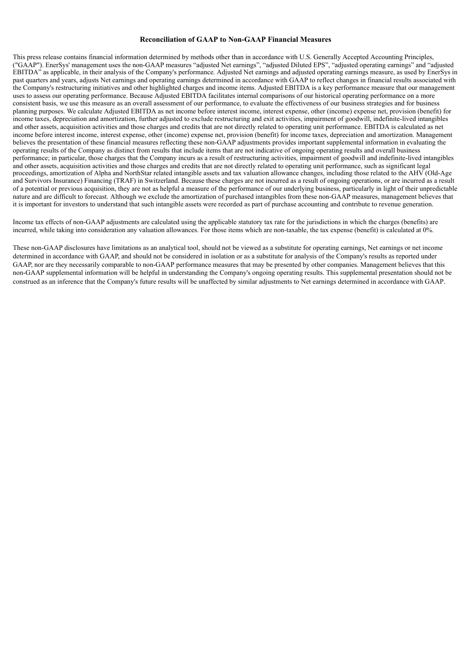#### **Reconciliation of GAAP to Non-GAAP Financial Measures**

This press release contains financial information determined by methods other than in accordance with U.S. Generally Accepted Accounting Principles, ("GAAP"). EnerSys' management uses the non-GAAP measures "adjusted Net earnings", "adjusted Diluted EPS", "adjusted operating earnings" and "adjusted EBITDA" as applicable, in their analysis of the Company's performance. Adjusted Net earnings and adjusted operating earnings measure, as used by EnerSys in past quarters and years, adjusts Net earnings and operating earnings determined in accordance with GAAP to reflect changes in financial results associated with the Company's restructuring initiatives and other highlighted charges and income items. Adjusted EBITDA is a key performance measure that our management uses to assess our operating performance. Because Adjusted EBITDA facilitates internal comparisons of our historical operating performance on a more consistent basis, we use this measure as an overall assessment of our performance, to evaluate the effectiveness of our business strategies and for business planning purposes. We calculate Adjusted EBITDA as net income before interest income, interest expense, other (income) expense net, provision (benefit) for income taxes, depreciation and amortization, further adjusted to exclude restructuring and exit activities, impairment of goodwill, indefinite-lived intangibles and other assets, acquisition activities and those charges and credits that are not directly related to operating unit performance. EBITDA is calculated as net income before interest income, interest expense, other (income) expense net, provision (benefit) for income taxes, depreciation and amortization. Management believes the presentation of these financial measures reflecting these non-GAAP adjustments provides important supplemental information in evaluating the operating results of the Company as distinct from results that include items that are not indicative of ongoing operating results and overall business performance; in particular, those charges that the Company incurs as a result of restructuring activities, impairment of goodwill and indefinite-lived intangibles and other assets, acquisition activities and those charges and credits that are not directly related to operating unit performance, such as significant legal proceedings, amortization of Alpha and NorthStar related intangible assets and tax valuation allowance changes, including those related to the AHV (Old-Age and Survivors Insurance) Financing (TRAF) in Switzerland. Because these charges are not incurred as a result of ongoing operations, or are incurred as a result of a potential or previous acquisition, they are not as helpful a measure of the performance of our underlying business, particularly in light of their unpredictable nature and are difficult to forecast. Although we exclude the amortization of purchased intangibles from these non-GAAP measures, management believes that it is important for investors to understand that such intangible assets were recorded as part of purchase accounting and contribute to revenue generation.

Income tax effects of non-GAAP adjustments are calculated using the applicable statutory tax rate for the jurisdictions in which the charges (benefits) are incurred, while taking into consideration any valuation allowances. For those items which are non-taxable, the tax expense (benefit) is calculated at 0%.

These non-GAAP disclosures have limitations as an analytical tool, should not be viewed as a substitute for operating earnings, Net earnings or net income determined in accordance with GAAP, and should not be considered in isolation or as a substitute for analysis of the Company's results as reported under GAAP, nor are they necessarily comparable to non-GAAP performance measures that may be presented by other companies. Management believes that this non-GAAP supplemental information will be helpful in understanding the Company's ongoing operating results. This supplemental presentation should not be construed as an inference that the Company's future results will be unaffected by similar adjustments to Net earnings determined in accordance with GAAP.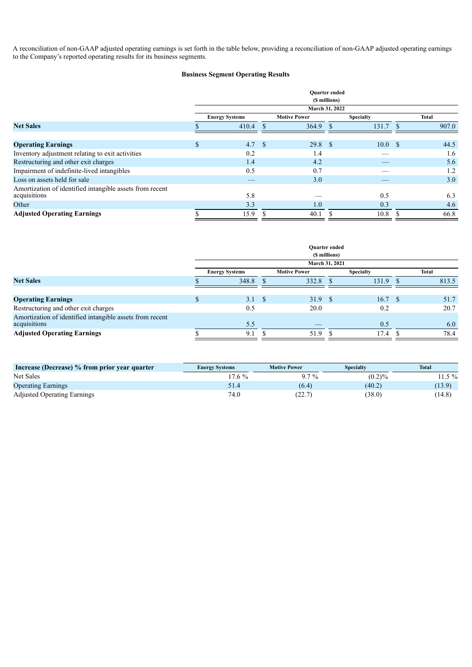A reconciliation of non-GAAP adjusted operating earnings is set forth in the table below, providing a reconciliation of non-GAAP adjusted operating earnings to the Company's reported operating results for its business segments.

## **Business Segment Operating Results**

|                                                          | <b>Ouarter</b> ended<br>(\$ millions) |                       |  |                     |    |                  |               |              |  |  |
|----------------------------------------------------------|---------------------------------------|-----------------------|--|---------------------|----|------------------|---------------|--------------|--|--|
|                                                          |                                       |                       |  | March 31, 2022      |    |                  |               |              |  |  |
|                                                          |                                       | <b>Energy Systems</b> |  | <b>Motive Power</b> |    | <b>Specialty</b> |               | <b>Total</b> |  |  |
| <b>Net Sales</b>                                         |                                       | 410.4                 |  | 364.9               | -S | 131.7            | <sup>\$</sup> | 907.0        |  |  |
|                                                          |                                       |                       |  |                     |    |                  |               |              |  |  |
| <b>Operating Earnings</b>                                | \$                                    | 4.7 <sup>°</sup>      |  | 29.8 <sup>°</sup>   |    | 10.0             | - \$          | 44.5         |  |  |
| Inventory adjustment relating to exit activities         |                                       | 0.2                   |  | 1.4                 |    |                  |               | 1.6          |  |  |
| Restructuring and other exit charges                     |                                       | 1.4                   |  | 4.2                 |    |                  |               | 5.6          |  |  |
| Impairment of indefinite-lived intangibles               |                                       | 0.5                   |  | 0.7                 |    |                  |               | 1.2          |  |  |
| Loss on assets held for sale                             |                                       |                       |  | 3.0                 |    |                  |               | 3.0          |  |  |
| Amortization of identified intangible assets from recent |                                       |                       |  |                     |    |                  |               |              |  |  |
| acquisitions                                             |                                       | 5.8                   |  |                     |    | 0.5              |               | 6.3          |  |  |
| Other                                                    |                                       | 3.3                   |  | 1.0 <sub>1</sub>    |    | 0.3              |               | 4.6          |  |  |
| <b>Adjusted Operating Earnings</b>                       |                                       | 15.9                  |  | 40.1                |    | 10.8             |               | 66.8         |  |  |

|                                                          | <b>Ouarter</b> ended<br>(\$ millions) |                       |  |                     |  |                  |  |       |  |  |
|----------------------------------------------------------|---------------------------------------|-----------------------|--|---------------------|--|------------------|--|-------|--|--|
|                                                          |                                       |                       |  | March 31, 2021      |  |                  |  |       |  |  |
|                                                          |                                       | <b>Energy Systems</b> |  | <b>Motive Power</b> |  | <b>Specialty</b> |  | Total |  |  |
| <b>Net Sales</b>                                         |                                       | 348.8                 |  | 332.8               |  | 131.9            |  | 813.5 |  |  |
|                                                          |                                       |                       |  |                     |  |                  |  |       |  |  |
| <b>Operating Earnings</b>                                | $\mathbf{D}$                          | $3.1 \quad$ \$        |  | $31.9$ \$           |  | 16.7 S           |  | 51.7  |  |  |
| Restructuring and other exit charges                     |                                       | 0.5                   |  | 20.0                |  | 0.2              |  | 20.7  |  |  |
| Amortization of identified intangible assets from recent |                                       |                       |  |                     |  |                  |  |       |  |  |
| acquisitions                                             |                                       | 5.5                   |  |                     |  | 0.5              |  | 6.0   |  |  |
| <b>Adjusted Operating Earnings</b>                       |                                       | 9.1                   |  | 51.9                |  | 17.4             |  | 78.4  |  |  |
|                                                          |                                       |                       |  |                     |  |                  |  |       |  |  |

| Increase (Decrease) % from prior year quarter | <b>Energy Systems</b> | <b>Motive Power</b> | <b>Specialty</b> | <b>Total</b> |
|-----------------------------------------------|-----------------------|---------------------|------------------|--------------|
| Net Sales                                     | $17.6\%$              | $9.7\%$             | $(0.2)\%$        | 11.5 %       |
| <b>Operating Earnings</b>                     | 51.4                  | (6.4)               | (40.2)           | (13.9)       |
| <b>Adjusted Operating Earnings</b>            | 74.0                  | (22.7)              | (38.0)           | (14.8)       |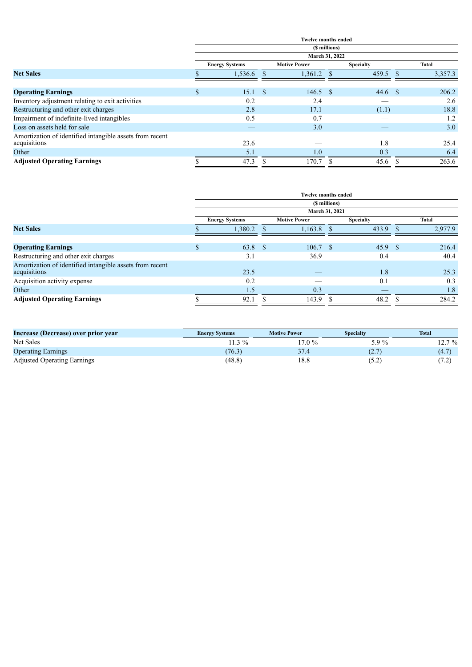|                                                          |                |                       |  | <b>Twelve months ended</b> |               |                  |  |              |
|----------------------------------------------------------|----------------|-----------------------|--|----------------------------|---------------|------------------|--|--------------|
|                                                          |                |                       |  |                            | (\$ millions) |                  |  |              |
|                                                          | March 31, 2022 |                       |  |                            |               |                  |  |              |
|                                                          |                | <b>Energy Systems</b> |  | <b>Motive Power</b>        |               | <b>Specialty</b> |  | <b>Total</b> |
| <b>Net Sales</b>                                         |                | 1,536.6               |  | 1,361.2                    | -S            | 459.5            |  | 3,357.3      |
|                                                          |                |                       |  |                            |               |                  |  |              |
| <b>Operating Earnings</b>                                | \$.            | 15.1 S                |  | $146.5$ \$                 |               | $44.6$ \$        |  | 206.2        |
| Inventory adjustment relating to exit activities         |                | 0.2                   |  | 2.4                        |               |                  |  | 2.6          |
| Restructuring and other exit charges                     |                | 2.8                   |  | 17.1                       |               | (1.1)            |  | 18.8         |
| Impairment of indefinite-lived intangibles               |                | 0.5                   |  | 0.7                        |               |                  |  | 1.2          |
| Loss on assets held for sale                             |                |                       |  | 3.0                        |               |                  |  | 3.0          |
| Amortization of identified intangible assets from recent |                |                       |  |                            |               |                  |  |              |
| acquisitions                                             |                | 23.6                  |  |                            |               | 1.8              |  | 25.4         |
| Other                                                    |                | 5.1                   |  | 1.0                        |               | 0.3              |  | 6.4          |
| <b>Adjusted Operating Earnings</b>                       |                | 47.3                  |  | 170.7                      |               | 45.6             |  | 263.6        |

|                                                          | <b>Twelve months ended</b> |                       |  |                     |      |                  |     |         |  |  |  |
|----------------------------------------------------------|----------------------------|-----------------------|--|---------------------|------|------------------|-----|---------|--|--|--|
|                                                          | (\$ millions)              |                       |  |                     |      |                  |     |         |  |  |  |
|                                                          |                            |                       |  | March 31, 2021      |      |                  |     |         |  |  |  |
|                                                          |                            | <b>Energy Systems</b> |  | <b>Motive Power</b> |      | <b>Specialty</b> |     | Total   |  |  |  |
| <b>Net Sales</b>                                         |                            | 1,380.2               |  | 1,163.8             |      | 433.9            |     | 2,977.9 |  |  |  |
|                                                          |                            |                       |  |                     |      |                  |     |         |  |  |  |
| <b>Operating Earnings</b>                                | $\mathbf{D}$               | $63.8$ \$             |  | 106.7               | - \$ | 45.9             | -\$ | 216.4   |  |  |  |
| Restructuring and other exit charges                     |                            | 3.1                   |  | 36.9                |      | 0.4              |     | 40.4    |  |  |  |
| Amortization of identified intangible assets from recent |                            |                       |  |                     |      |                  |     |         |  |  |  |
| acquisitions                                             |                            | 23.5                  |  |                     |      | 1.8              |     | 25.3    |  |  |  |
| Acquisition activity expense                             |                            | 0.2                   |  |                     |      | 0.1              |     | 0.3     |  |  |  |
| Other                                                    |                            | 1.5                   |  | 0.3                 |      |                  |     | 1.8     |  |  |  |
| <b>Adjusted Operating Earnings</b>                       |                            | 92.1                  |  | 143.9               |      | 48.2             |     | 284.2   |  |  |  |

| Increase (Decrease) over prior year | <b>Energy Systems</b> | <b>Motive Power</b> | <b>Specialty</b> | <b>Total</b>             |
|-------------------------------------|-----------------------|---------------------|------------------|--------------------------|
| Net Sales                           | $1.3\%$               | $17.0\%$            | 5.9 %            | $12.7\%$                 |
| <b>Operating Earnings</b>           | (76.3)                | 37.4                | (2.7)            | (4.7)                    |
| <b>Adjusted Operating Earnings</b>  | (48.8)                | 18.8                | (5.2             | $\overline{\phantom{a}}$ |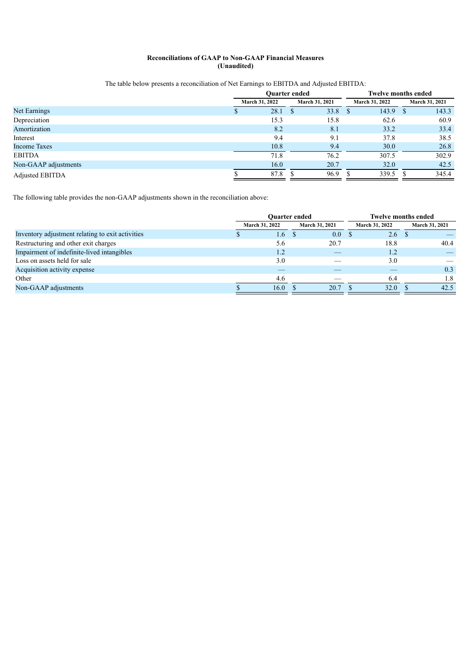## **Reconciliations of GAAP to Non-GAAP Financial Measures (Unaudited)**

## The table below presents a reconciliation of Net Earnings to EBITDA and Adjusted EBITDA:

|                      |                | <b>Ouarter ended</b> | <b>Twelve months ended</b> |                       |  |  |
|----------------------|----------------|----------------------|----------------------------|-----------------------|--|--|
|                      | March 31, 2022 | March 31, 2021       | <b>March 31, 2022</b>      | March 31, 2021        |  |  |
| Net Earnings         | 28.1           | 33.8                 | 143.9                      | 143.3<br><sup>3</sup> |  |  |
| Depreciation         | 15.3           | 15.8                 | 62.6                       | 60.9                  |  |  |
| Amortization         | 8.2            | 8.1                  | 33.2                       | 33.4                  |  |  |
| Interest             | 9.4            | 9.1                  | 37.8                       | 38.5                  |  |  |
| <b>Income Taxes</b>  | 10.8           | 9.4                  | 30.0                       | 26.8                  |  |  |
| <b>EBITDA</b>        | 71.8           | 76.2                 | 307.5                      | 302.9                 |  |  |
| Non-GAAP adjustments | 16.0           | 20.7                 | 32.0                       | 42.5                  |  |  |
| Adjusted EBITDA      | 87.8           | 96.9                 | 339.5                      | 345.4                 |  |  |

The following table provides the non-GAAP adjustments shown in the reconciliation above:

|                                                  | <b>Ouarter ended</b>  |                  |                       |  | <b>Twelve months ended</b> |  |                |  |
|--------------------------------------------------|-----------------------|------------------|-----------------------|--|----------------------------|--|----------------|--|
|                                                  | <b>March 31, 2022</b> |                  | <b>March 31, 2021</b> |  | <b>March 31, 2022</b>      |  | March 31, 2021 |  |
| Inventory adjustment relating to exit activities |                       | 4.6 <sup>7</sup> | $0.0\,$<br>-S         |  | 2.6                        |  |                |  |
| Restructuring and other exit charges             |                       | 5.6              | 20.7                  |  | 18.8                       |  | 40.4           |  |
| Impairment of indefinite-lived intangibles       |                       | 1.2              |                       |  | 1.2                        |  |                |  |
| Loss on assets held for sale                     |                       | 3.0              |                       |  | 3.0                        |  |                |  |
| Acquisition activity expense                     |                       |                  |                       |  |                            |  | 0.3            |  |
| Other                                            |                       | 4.6              |                       |  | 6.4                        |  | 1.8            |  |
| Non-GAAP adjustments                             |                       | 16.0             | 20.7                  |  | 32.0                       |  | 42.5           |  |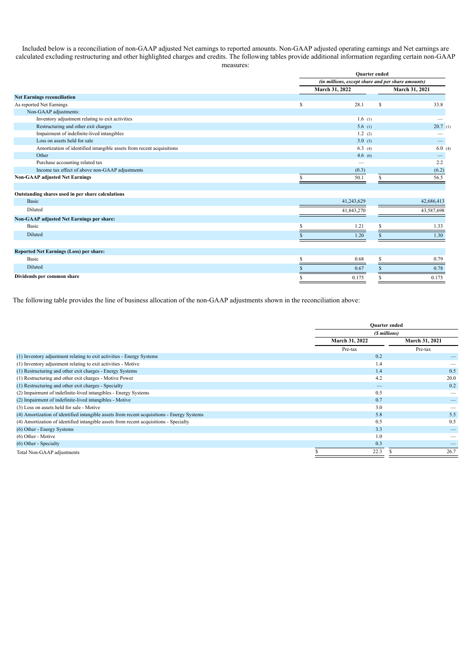Included below is a reconciliation of non-GAAP adjusted Net earnings to reported amounts. Non-GAAP adjusted operating earnings and Net earnings are calculated excluding restructuring and other highlighted charges and credits. The following tables provide additional information regarding certain non-GAAP measures:

|                                                                       |   | <b>Ouarter</b> ended<br>(in millions, except share and per share amounts) |                |  |  |
|-----------------------------------------------------------------------|---|---------------------------------------------------------------------------|----------------|--|--|
|                                                                       |   |                                                                           |                |  |  |
|                                                                       |   | March 31, 2022                                                            | March 31, 2021 |  |  |
| <b>Net Earnings reconciliation</b>                                    |   |                                                                           |                |  |  |
| As reported Net Earnings                                              | S | 28.1<br>S                                                                 | 33.8           |  |  |
| Non-GAAP adjustments:                                                 |   |                                                                           |                |  |  |
| Inventory adjustment relating to exit activities                      |   | 1.6(1)                                                                    |                |  |  |
| Restructuring and other exit charges                                  |   | 5.6(1)                                                                    | 20.7(1)        |  |  |
| Impairment of indefinite-lived intangibles                            |   | 1.2(2)                                                                    |                |  |  |
| Loss on assets held for sale                                          |   | 3.0(3)                                                                    |                |  |  |
| Amortization of identified intangible assets from recent acquisitions |   | 6.3(4)                                                                    | 6.0(4)         |  |  |
| Other                                                                 |   | 4.6(6)                                                                    |                |  |  |
| Purchase accounting related tax                                       |   |                                                                           | 2.2            |  |  |
| Income tax effect of above non-GAAP adjustments                       |   | (0.3)                                                                     | (6.2)          |  |  |
| <b>Non-GAAP adjusted Net Earnings</b>                                 |   | 50.1<br>S.                                                                | 56.5           |  |  |
| Outstanding shares used in per share calculations                     |   |                                                                           |                |  |  |
| <b>Basic</b>                                                          |   | 41,243,629                                                                | 42,686,413     |  |  |
| Diluted                                                               |   | 41,843,270                                                                | 43,587,698     |  |  |
| Non-GAAP adjusted Net Earnings per share:                             |   |                                                                           |                |  |  |
| Basic                                                                 |   | 1.21                                                                      | 1.33           |  |  |
| Diluted                                                               |   | 1.20                                                                      | 1.30           |  |  |
| Reported Net Earnings (Loss) per share:                               |   |                                                                           |                |  |  |
| Basic                                                                 |   | 0.68                                                                      | 0.79           |  |  |
| Diluted                                                               |   | 0.67                                                                      | 0.78           |  |  |
| Dividends per common share                                            |   | 0.175                                                                     | 0.175          |  |  |

The following table provides the line of business allocation of the non-GAAP adjustments shown in the reconciliation above:

|                                                                                            |  | <b>Ouarter</b> ended<br>(\$ millions)   |         |  |
|--------------------------------------------------------------------------------------------|--|-----------------------------------------|---------|--|
|                                                                                            |  |                                         |         |  |
|                                                                                            |  | March 31, 2022<br><b>March 31, 2021</b> |         |  |
|                                                                                            |  | Pre-tax                                 | Pre-tax |  |
| (1) Inventory adjustment relating to exit activities - Energy Systems                      |  | 0.2                                     |         |  |
| (1) Inventory adjustment relating to exit activities - Motive                              |  | 1.4                                     |         |  |
| (1) Restructuring and other exit charges - Energy Systems                                  |  | 1.4                                     | 0.5     |  |
| (1) Restructuring and other exit charges - Motive Power                                    |  | 4.2                                     | 20.0    |  |
| (1) Restructuring and other exit charges - Specialty                                       |  | —                                       | 0.2     |  |
| (2) Impairment of indefinite-lived intangibles - Energy Systems                            |  | 0.5                                     |         |  |
| (2) Impairment of indefinite-lived intangibles - Motive                                    |  | 0.7                                     |         |  |
| (3) Loss on assets held for sale - Motive                                                  |  | 3.0                                     |         |  |
| (4) Amortization of identified intangible assets from recent acquisitions - Energy Systems |  | 5.8                                     | 5.5     |  |
| (4) Amortization of identified intangible assets from recent acquisitions - Specialty      |  | 0.5                                     | 0.5     |  |
| (6) Other - Energy Systems                                                                 |  | 3.3                                     |         |  |
| (6) Other - Motive                                                                         |  | 1.0                                     |         |  |
| (6) Other - Specialty                                                                      |  | 0.3                                     |         |  |
| Total Non-GAAP adjustments                                                                 |  | 22.3                                    | 26.7    |  |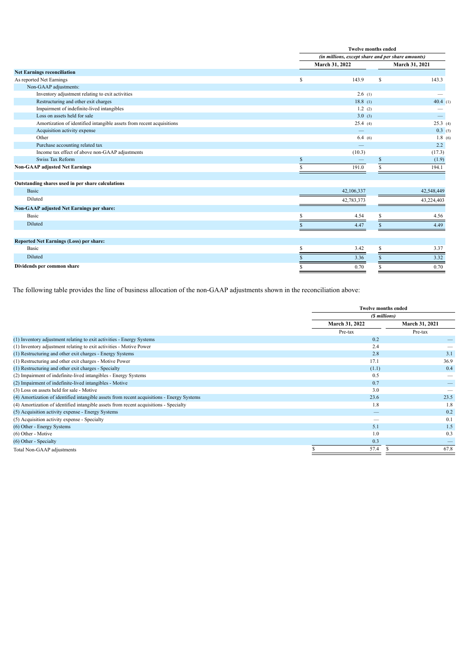|                                                                       |                | <b>Twelve months ended</b><br>(in millions, except share and per share amounts) |                   |  |  |
|-----------------------------------------------------------------------|----------------|---------------------------------------------------------------------------------|-------------------|--|--|
|                                                                       |                |                                                                                 |                   |  |  |
|                                                                       | March 31, 2022 |                                                                                 | March 31, 2021    |  |  |
| <b>Net Earnings reconciliation</b>                                    |                |                                                                                 |                   |  |  |
| As reported Net Earnings                                              | S              | 143.9<br>S                                                                      | 143.3             |  |  |
| Non-GAAP adjustments:                                                 |                |                                                                                 |                   |  |  |
| Inventory adjustment relating to exit activities                      |                | 2.6(1)                                                                          |                   |  |  |
| Restructuring and other exit charges                                  |                | 18.8(1)                                                                         | 40.4(1)           |  |  |
| Impairment of indefinite-lived intangibles                            |                | 1.2(2)                                                                          |                   |  |  |
| Loss on assets held for sale                                          |                | 3.0(3)                                                                          | $\qquad \qquad -$ |  |  |
| Amortization of identified intangible assets from recent acquisitions |                | 25.4(4)                                                                         | 25.3(4)           |  |  |
| Acquisition activity expense                                          |                | $\qquad \qquad -$                                                               | 0.3(5)            |  |  |
| Other                                                                 |                | 6.4(6)                                                                          | 1.8(6)            |  |  |
| Purchase accounting related tax                                       |                |                                                                                 | 2.2               |  |  |
| Income tax effect of above non-GAAP adjustments                       |                | (10.3)                                                                          | (17.3)            |  |  |
| Swiss Tax Reform                                                      | <sup>S</sup>   |                                                                                 | (1.9)             |  |  |
| <b>Non-GAAP adjusted Net Earnings</b>                                 | S.             | 191.0<br>S.                                                                     | 194.1             |  |  |
| Outstanding shares used in per share calculations                     |                |                                                                                 |                   |  |  |
| <b>Basic</b>                                                          | 42,106,337     |                                                                                 | 42,548,449        |  |  |
| Diluted                                                               | 42,783,373     |                                                                                 | 43,224,403        |  |  |
| Non-GAAP adjusted Net Earnings per share:                             |                |                                                                                 |                   |  |  |
| Basic                                                                 |                | 4.54                                                                            | 4.56              |  |  |
| Diluted                                                               |                | 4.47                                                                            | 4.49              |  |  |
|                                                                       |                |                                                                                 |                   |  |  |
| Reported Net Earnings (Loss) per share:                               |                |                                                                                 |                   |  |  |
| Basic                                                                 |                | 3.42                                                                            | 3.37              |  |  |
| Diluted                                                               |                | 3.36                                                                            | 3.32              |  |  |
| Dividends per common share                                            |                | 0.70                                                                            | 0.70              |  |  |

The following table provides the line of business allocation of the non-GAAP adjustments shown in the reconciliation above:

|                                                                                            |                | <b>Twelve months ended</b><br>(\$ millions) |         |  |
|--------------------------------------------------------------------------------------------|----------------|---------------------------------------------|---------|--|
|                                                                                            |                |                                             |         |  |
|                                                                                            | March 31, 2022 | <b>March 31, 2021</b>                       |         |  |
|                                                                                            | Pre-tax        |                                             | Pre-tax |  |
| (1) Inventory adjustment relating to exit activities - Energy Systems                      |                | 0.2                                         |         |  |
| (1) Inventory adjustment relating to exit activities - Motive Power                        |                | 2.4                                         |         |  |
| (1) Restructuring and other exit charges - Energy Systems                                  |                | 2.8                                         | 3.1     |  |
| (1) Restructuring and other exit charges - Motive Power                                    |                | 17.1                                        | 36.9    |  |
| (1) Restructuring and other exit charges - Specialty                                       |                | (1.1)                                       | 0.4     |  |
| (2) Impairment of indefinite-lived intangibles - Energy Systems                            |                | 0.5                                         |         |  |
| (2) Impairment of indefinite-lived intangibles - Motive                                    |                | 0.7                                         |         |  |
| (3) Loss on assets held for sale - Motive                                                  |                | 3.0                                         |         |  |
| (4) Amortization of identified intangible assets from recent acquisitions - Energy Systems |                | 23.6                                        | 23.5    |  |
| (4) Amortization of identified intangible assets from recent acquisitions - Specialty      |                | 1.8                                         | 1.8     |  |
| (5) Acquisition activity expense - Energy Systems                                          |                |                                             | 0.2     |  |
| (5) Acquisition activity expense - Specialty                                               |                |                                             | 0.1     |  |
| (6) Other - Energy Systems                                                                 |                | 5.1                                         | 1.5     |  |
| (6) Other - Motive                                                                         |                | 1.0                                         | 0.3     |  |
| (6) Other - Specialty                                                                      |                | 0.3                                         |         |  |
| Total Non-GAAP adjustments                                                                 |                | 57.4                                        | 67.8    |  |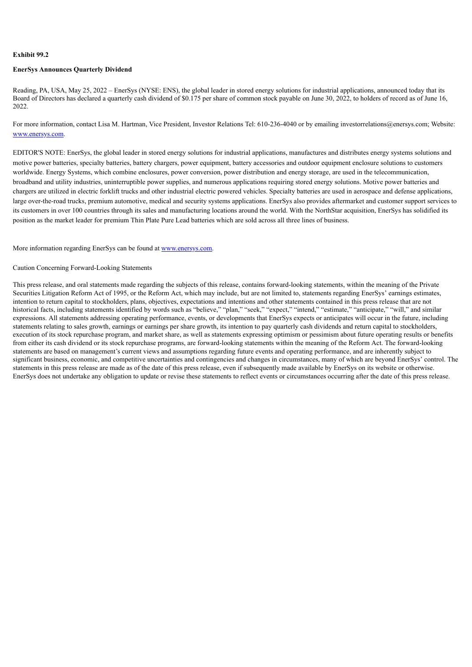#### <span id="page-17-0"></span>**Exhibit 99.2**

#### **EnerSys Announces Quarterly Dividend**

Reading, PA, USA, May 25, 2022 – EnerSys (NYSE: ENS), the global leader in stored energy solutions for industrial applications, announced today that its Board of Directors has declared a quarterly cash dividend of \$0.175 per share of common stock payable on June 30, 2022, to holders of record as of June 16, 2022.

For more information, contact Lisa M. Hartman, Vice President, Investor Relations Tel: 610-236-4040 or by emailing investorrelations@enersys.com; Website: www.enersys.com.

EDITOR'S NOTE: EnerSys, the global leader in stored energy solutions for industrial applications, manufactures and distributes energy systems solutions and motive power batteries, specialty batteries, battery chargers, power equipment, battery accessories and outdoor equipment enclosure solutions to customers worldwide. Energy Systems, which combine enclosures, power conversion, power distribution and energy storage, are used in the telecommunication, broadband and utility industries, uninterruptible power supplies, and numerous applications requiring stored energy solutions. Motive power batteries and chargers are utilized in electric forklift trucks and other industrial electric powered vehicles. Specialty batteries are used in aerospace and defense applications, large over-the-road trucks, premium automotive, medical and security systems applications. EnerSys also provides aftermarket and customer support services to its customers in over 100 countries through its sales and manufacturing locations around the world. With the NorthStar acquisition, EnerSys has solidified its position as the market leader for premium Thin Plate Pure Lead batteries which are sold across all three lines of business.

More information regarding EnerSys can be found at www.enersys.com.

#### Caution Concerning Forward-Looking Statements

This press release, and oral statements made regarding the subjects of this release, contains forward-looking statements, within the meaning of the Private Securities Litigation Reform Act of 1995, or the Reform Act, which may include, but are not limited to, statements regarding EnerSys' earnings estimates, intention to return capital to stockholders, plans, objectives, expectations and intentions and other statements contained in this press release that are not historical facts, including statements identified by words such as "believe," "plan," "seek," "expect," "intend," "estimate," "anticipate," "will," and similar expressions. All statements addressing operating performance, events, or developments that EnerSys expects or anticipates will occur in the future, including statements relating to sales growth, earnings or earnings per share growth, its intention to pay quarterly cash dividends and return capital to stockholders, execution of its stock repurchase program, and market share, as well as statements expressing optimism or pessimism about future operating results or benefits from either its cash dividend or its stock repurchase programs, are forward-looking statements within the meaning of the Reform Act. The forward-looking statements are based on management's current views and assumptions regarding future events and operating performance, and are inherently subject to significant business, economic, and competitive uncertainties and contingencies and changes in circumstances, many of which are beyond EnerSys' control. The statements in this press release are made as of the date of this press release, even if subsequently made available by EnerSys on its website or otherwise. EnerSys does not undertake any obligation to update or revise these statements to reflect events or circumstances occurring after the date of this press release.